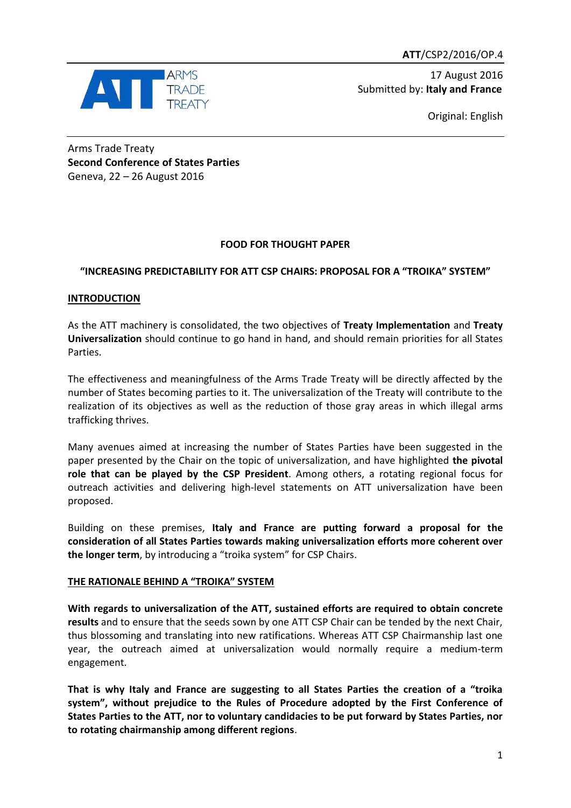

17 August 2016 Submitted by: **Italy and France**

Original: English

Arms Trade Treaty **Second Conference of States Parties** Geneva, 22 – 26 August 2016

# **FOOD FOR THOUGHT PAPER**

## **"INCREASING PREDICTABILITY FOR ATT CSP CHAIRS: PROPOSAL FOR A "TROIKA" SYSTEM"**

### **INTRODUCTION**

As the ATT machinery is consolidated, the two objectives of **Treaty Implementation** and **Treaty Universalization** should continue to go hand in hand, and should remain priorities for all States Parties.

The effectiveness and meaningfulness of the Arms Trade Treaty will be directly affected by the number of States becoming parties to it. The universalization of the Treaty will contribute to the realization of its objectives as well as the reduction of those gray areas in which illegal arms trafficking thrives.

Many avenues aimed at increasing the number of States Parties have been suggested in the paper presented by the Chair on the topic of universalization, and have highlighted **the pivotal role that can be played by the CSP President**. Among others, a rotating regional focus for outreach activities and delivering high-level statements on ATT universalization have been proposed.

Building on these premises, **Italy and France are putting forward a proposal for the consideration of all States Parties towards making universalization efforts more coherent over the longer term**, by introducing a "troika system" for CSP Chairs.

## **THE RATIONALE BEHIND A "TROIKA" SYSTEM**

**With regards to universalization of the ATT, sustained efforts are required to obtain concrete results** and to ensure that the seeds sown by one ATT CSP Chair can be tended by the next Chair, thus blossoming and translating into new ratifications. Whereas ATT CSP Chairmanship last one year, the outreach aimed at universalization would normally require a medium-term engagement.

**That is why Italy and France are suggesting to all States Parties the creation of a "troika system", without prejudice to the Rules of Procedure adopted by the First Conference of States Parties to the ATT, nor to voluntary candidacies to be put forward by States Parties, nor to rotating chairmanship among different regions**.